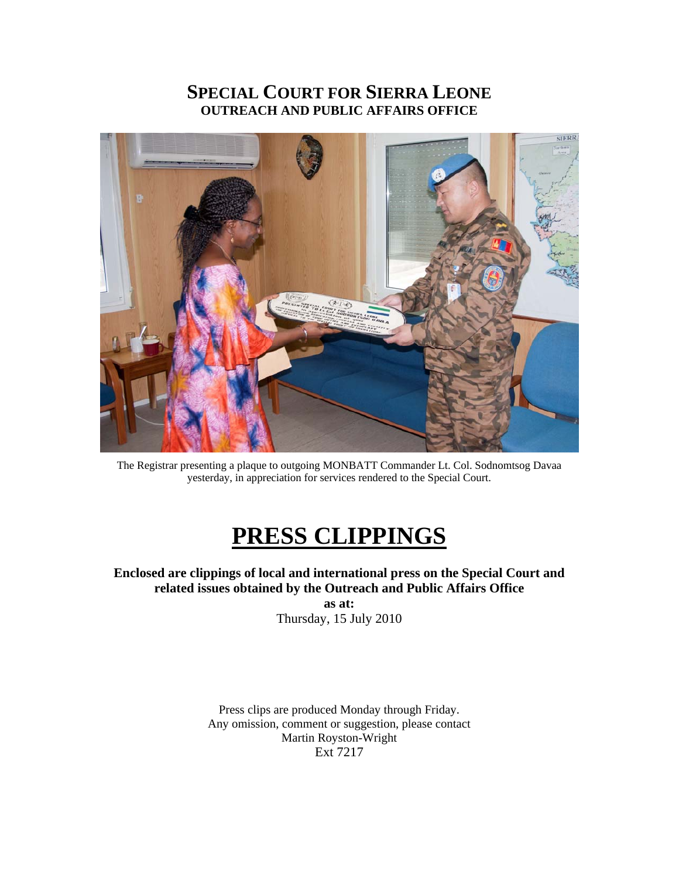### **SPECIAL COURT FOR SIERRA LEONE OUTREACH AND PUBLIC AFFAIRS OFFICE**



The Registrar presenting a plaque to outgoing MONBATT Commander Lt. Col. Sodnomtsog Davaa yesterday, in appreciation for services rendered to the Special Court.

# **PRESS CLIPPINGS**

**Enclosed are clippings of local and international press on the Special Court and related issues obtained by the Outreach and Public Affairs Office** 

**as at:**  Thursday, 15 July 2010

Press clips are produced Monday through Friday. Any omission, comment or suggestion, please contact Martin Royston-Wright Ext 7217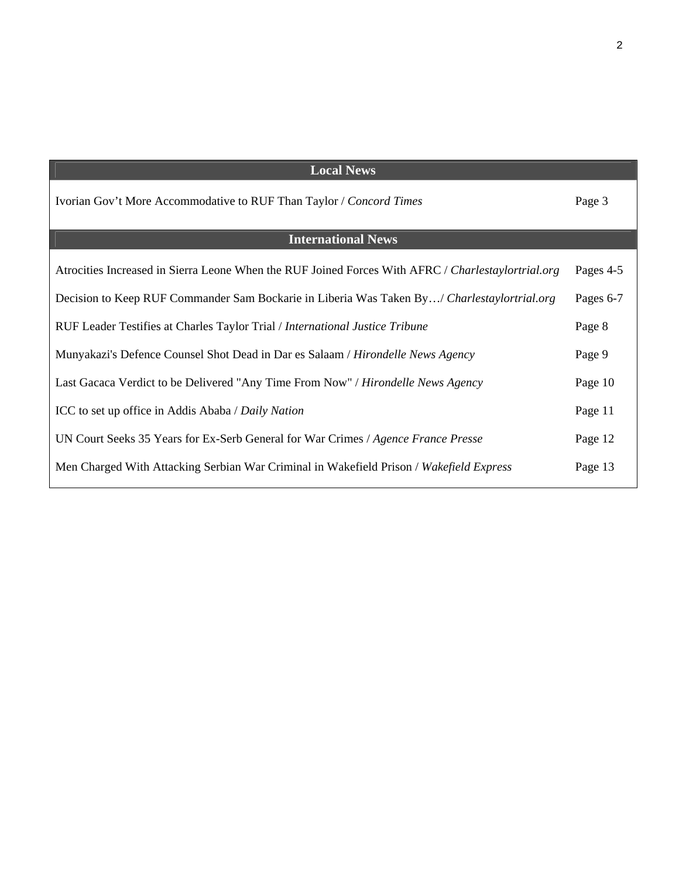| <b>Local News</b>                                                                                  |           |
|----------------------------------------------------------------------------------------------------|-----------|
| Ivorian Gov't More Accommodative to RUF Than Taylor / Concord Times                                | Page 3    |
| <b>International News</b>                                                                          |           |
|                                                                                                    |           |
| Atrocities Increased in Sierra Leone When the RUF Joined Forces With AFRC / Charlestaylortrial.org | Pages 4-5 |
| Decision to Keep RUF Commander Sam Bockarie in Liberia Was Taken By/ Charlestaylortrial.org        | Pages 6-7 |
|                                                                                                    |           |
| RUF Leader Testifies at Charles Taylor Trial / International Justice Tribune                       | Page 8    |
| Munyakazi's Defence Counsel Shot Dead in Dar es Salaam / Hirondelle News Agency                    | Page 9    |
|                                                                                                    |           |
| Last Gacaca Verdict to be Delivered "Any Time From Now" / Hirondelle News Agency                   | Page 10   |
|                                                                                                    |           |
| ICC to set up office in Addis Ababa / Daily Nation                                                 | Page 11   |
| UN Court Seeks 35 Years for Ex-Serb General for War Crimes / Agence France Presse                  | Page 12   |
|                                                                                                    |           |
| Men Charged With Attacking Serbian War Criminal in Wakefield Prison / Wakefield Express            | Page 13   |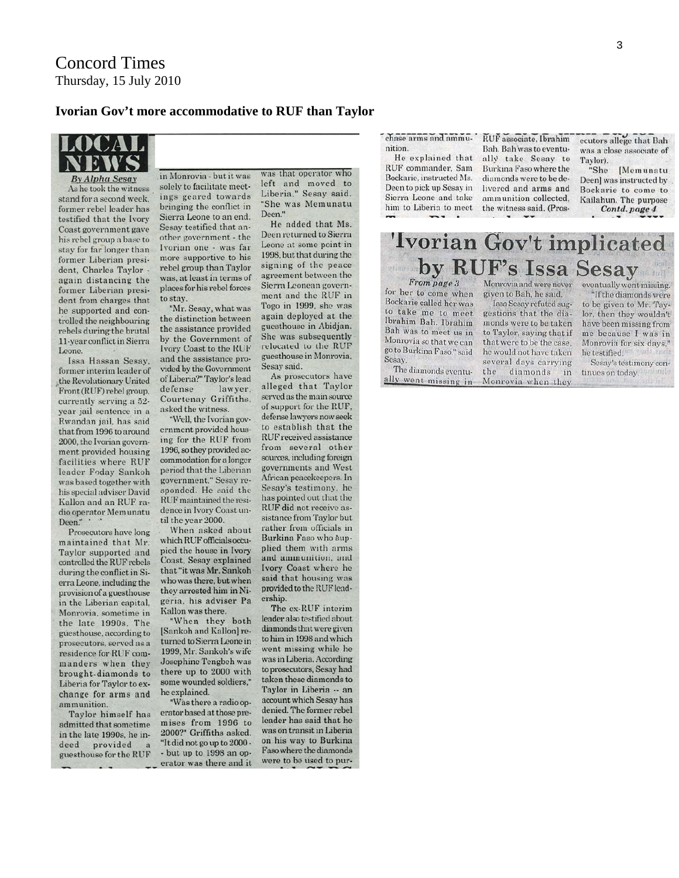#### **Ivorian Gov't more accommodative to RUF than Taylor**



**By Alpha Sesay** As he took the witness stand for a second week. former rebel leader has testified that the Ivory Coast government gave his rebel group a base to stay for far longer than former Liberian president, Charles Taylor again distancing the former Liberian president from charges that he supported and controlled the neighbouring rebels during the brutal 11-year conflict in Sierra Leone.

Issa Hassan Sesay. former interim leader of the Revolutionary United Front (RUF) rebel group. currently serving a 52vear jail sentence in a Rwandan jail, has said that from 1996 to around 2000, the Ivorian government provided housing facilities where RUF leader Foday Sankoh was based together with his special adviser David Kallon and an RUF radio operator Memunatu Deen."

Prosecutors have long maintained that Mr. Taylor supported and controlled the RUF rebels during the conflict in Sierra Leone, including the provision of a guesthouse in the Liberian capital. Monrovia, sometime in the late 1990s. The guesthouse, according to prosecutors, served as a residence for RUF commanders when they brought-diamonds to Liberia for Taylor to exchange for arms and ammunition.

Taylor himself has admitted that sometime in the late 1990s, he indeed provided guesthouse for the RUF

in Monrovia - but it was solely to facilitate meetings geared towards bringing the conflict in Sierra Leone to an end. Sesay testified that another government - the Ivorian one - was far more supportive to his rebel group than Taylor was, at least in terms of places for his rebel forces to stay.

"Mr. Sesay, what was the distinction between the assistance provided by the Government of Ivory Coast to the RUF and the assistance provided by the Government of Liberia?" Taylor's lead defense lawyer. Courtenay Griffiths. asked the witness.

"Well, the Ivorian government provided housing for the RUF from 1996, so they provided accommodation for a longer period that the Liberian government." Sesay responded. He said the RUF maintained the residence in Ivory Coast until the year 2000.

When asked about which RUF officials occupied the house in Ivory Coast, Sesay explained that "it was Mr. Sankoh who was there, but when they arrested him in Nigeria, his adviser Pa Kallon was there.

"When they both [Sankoh and Kallon] returned to Sierra Leone in 1999. Mr. Sankoh's wife **Josephine Tengbeh was** there up to 2000 with some wounded soldiers," he explained.

"Was there a radio operator based at those premises from 1996 to 2000?" Griffiths asked. "It did not go up to 2000 -- but up to 1998 an operator was there and it was that operator who left and moved to Liberia." Sesay said. "She was Memunatu Deen."

He added that Ms. Deen returned to Sierra Leone at some point in 1998, but that during the signing of the peace agreement between the Sierra Leonean government and the RUF in Togo in 1999, she was again deployed at the guesthouse in Abidjan. She was subsequently relocated to the RUF guesthouse in Monrovia. Sesay said.

As prosecutors have alleged that Taylor served as the main source of support for the RUF, defense lawyers now seek to establish that the RUF received assistance from several other sources, including foreign governments and West African peacekeepers. In Sesay's testimony, he has pointed out that the RUF did not receive assistance from Taylor but rather from officials in Burkina Faso who supplied them with arms and ammunition, and Ivory Coast where he said that housing was provided to the RUF leadership.

The ex-RUF interim leader also testified about diamonds that were given to him in 1998 and which went missing while he was in Liberia. According to prosecutors, Sesay had taken these diamonds to Taylor in Liberia -- an account which Sesay has denied. The former rebel leader has said that he was on transit in Liberia on his way to Burkina Faso where the diamonds were to be used to purchase arms and ammu-

nition. He explained that RUF commander. Sam Bockarie, instructed Ms. Deen to pick up Sesay in Sierra Leone and take him to Liberia to meet RUF associate, Ibrahim Bah. Bah was to eventually take Sesay to Burkina Faso where the diamonds were to be delivered and arms and ammunition collected, the witness said. (Prosecutors allege that Bah was a close associate of Taylor).

"She [Memunatu Deen] was instructed by Bockarie to come to Kailahun. The purpose Contd. page 4

#### 'Ivorian Gov't implicated by RUF's Issa Sesay viino

From page 3

for her to come when Bockarie called her was to take me to meet Ibrahim Bah. Ibrahim Bah was to meet us in Monrovia so that we can go to Burkina Faso," said Sesay.

The diamonds eventually went missing in

Monrovia and were never given to Bah, he said.

Issa Sesay refuted suggestions that the diamonds were to be taken to Taylor, saying that if that were to be the case. he would not have taken several days carrying the diamonds  $in$ Monrovia when they eventually went missing. "If the diamonds were to be given to Mr. Taylor, then they wouldn't have been missing from me because I was in Monrovia for six days." he testified. Sesay's testimony con-

tinues on today.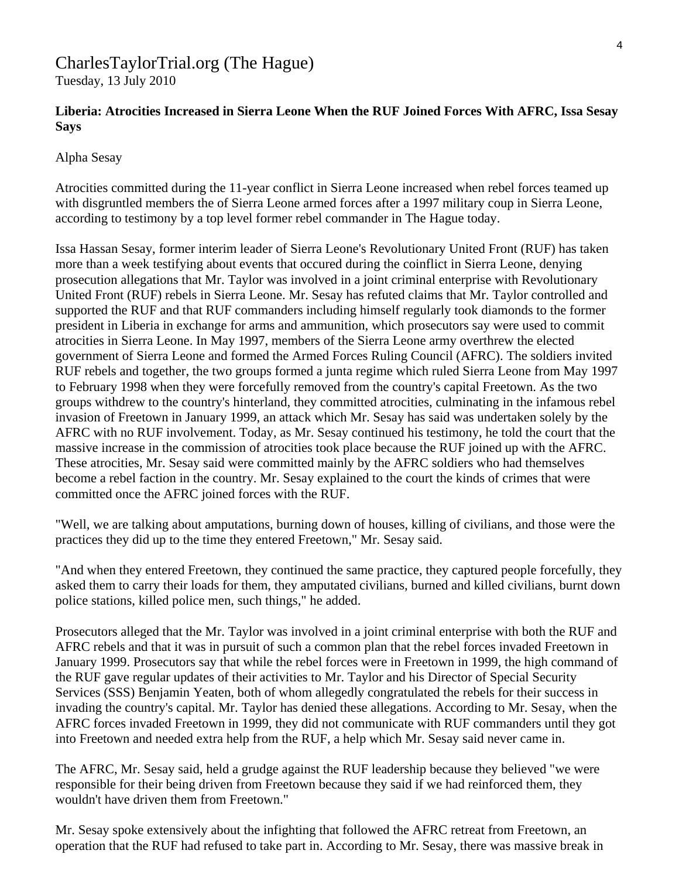## CharlesTaylorTrial.org (The Hague)

Tuesday, 13 July 2010

#### **Liberia: Atrocities Increased in Sierra Leone When the RUF Joined Forces With AFRC, Issa Sesay Says**

#### Alpha Sesay

Atrocities committed during the 11-year conflict in Sierra Leone increased when rebel forces teamed up with disgruntled members the of Sierra Leone armed forces after a 1997 military coup in Sierra Leone, according to testimony by a top level former rebel commander in The Hague today.

Issa Hassan Sesay, former interim leader of Sierra Leone's Revolutionary United Front (RUF) has taken more than a week testifying about events that occured during the coinflict in Sierra Leone, denying prosecution allegations that Mr. Taylor was involved in a joint criminal enterprise with Revolutionary United Front (RUF) rebels in Sierra Leone. Mr. Sesay has refuted claims that Mr. Taylor controlled and supported the RUF and that RUF commanders including himself regularly took diamonds to the former president in Liberia in exchange for arms and ammunition, which prosecutors say were used to commit atrocities in Sierra Leone. In May 1997, members of the Sierra Leone army overthrew the elected government of Sierra Leone and formed the Armed Forces Ruling Council (AFRC). The soldiers invited RUF rebels and together, the two groups formed a junta regime which ruled Sierra Leone from May 1997 to February 1998 when they were forcefully removed from the country's capital Freetown. As the two groups withdrew to the country's hinterland, they committed atrocities, culminating in the infamous rebel invasion of Freetown in January 1999, an attack which Mr. Sesay has said was undertaken solely by the AFRC with no RUF involvement. Today, as Mr. Sesay continued his testimony, he told the court that the massive increase in the commission of atrocities took place because the RUF joined up with the AFRC. These atrocities, Mr. Sesay said were committed mainly by the AFRC soldiers who had themselves become a rebel faction in the country. Mr. Sesay explained to the court the kinds of crimes that were committed once the AFRC joined forces with the RUF.

"Well, we are talking about amputations, burning down of houses, killing of civilians, and those were the practices they did up to the time they entered Freetown," Mr. Sesay said.

"And when they entered Freetown, they continued the same practice, they captured people forcefully, they asked them to carry their loads for them, they amputated civilians, burned and killed civilians, burnt down police stations, killed police men, such things," he added.

Prosecutors alleged that the Mr. Taylor was involved in a joint criminal enterprise with both the RUF and AFRC rebels and that it was in pursuit of such a common plan that the rebel forces invaded Freetown in January 1999. Prosecutors say that while the rebel forces were in Freetown in 1999, the high command of the RUF gave regular updates of their activities to Mr. Taylor and his Director of Special Security Services (SSS) Benjamin Yeaten, both of whom allegedly congratulated the rebels for their success in invading the country's capital. Mr. Taylor has denied these allegations. According to Mr. Sesay, when the AFRC forces invaded Freetown in 1999, they did not communicate with RUF commanders until they got into Freetown and needed extra help from the RUF, a help which Mr. Sesay said never came in.

The AFRC, Mr. Sesay said, held a grudge against the RUF leadership because they believed "we were responsible for their being driven from Freetown because they said if we had reinforced them, they wouldn't have driven them from Freetown."

Mr. Sesay spoke extensively about the infighting that followed the AFRC retreat from Freetown, an operation that the RUF had refused to take part in. According to Mr. Sesay, there was massive break in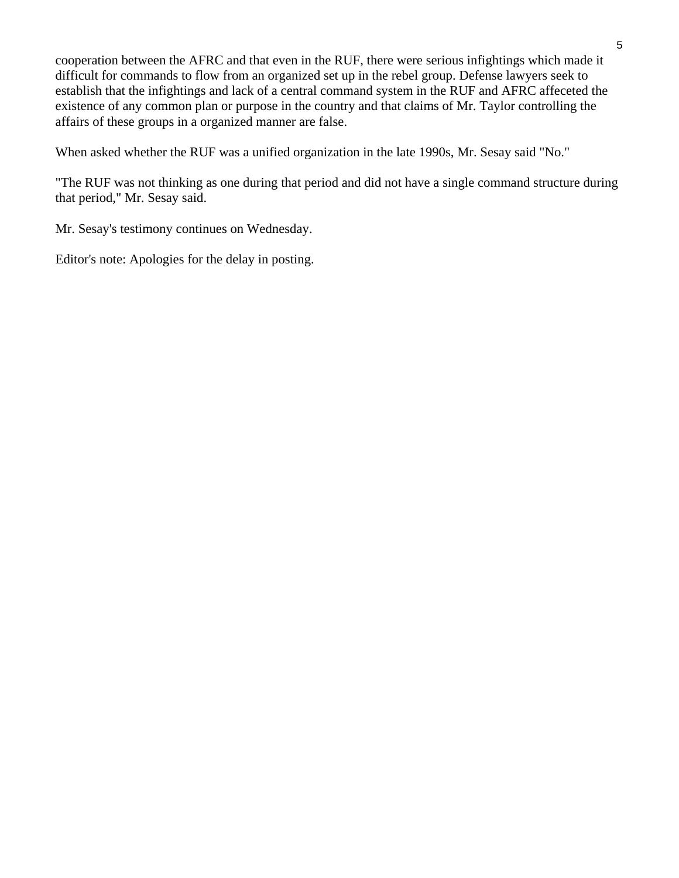cooperation between the AFRC and that even in the RUF, there were serious infightings which made it difficult for commands to flow from an organized set up in the rebel group. Defense lawyers seek to establish that the infightings and lack of a central command system in the RUF and AFRC affeceted the existence of any common plan or purpose in the country and that claims of Mr. Taylor controlling the affairs of these groups in a organized manner are false.

When asked whether the RUF was a unified organization in the late 1990s, Mr. Sesay said "No."

"The RUF was not thinking as one during that period and did not have a single command structure during that period," Mr. Sesay said.

Mr. Sesay's testimony continues on Wednesday.

Editor's note: Apologies for the delay in posting.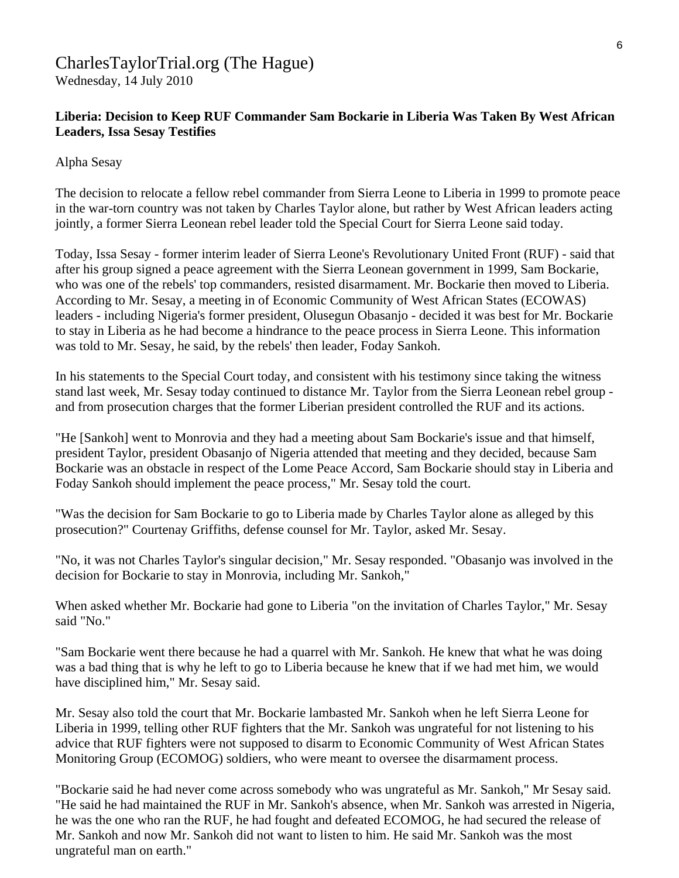## CharlesTaylorTrial.org (The Hague)

Wednesday, 14 July 2010

#### **Liberia: Decision to Keep RUF Commander Sam Bockarie in Liberia Was Taken By West African Leaders, Issa Sesay Testifies**

Alpha Sesay

The decision to relocate a fellow rebel commander from Sierra Leone to Liberia in 1999 to promote peace in the war-torn country was not taken by Charles Taylor alone, but rather by West African leaders acting jointly, a former Sierra Leonean rebel leader told the Special Court for Sierra Leone said today.

Today, Issa Sesay - former interim leader of Sierra Leone's Revolutionary United Front (RUF) - said that after his group signed a peace agreement with the Sierra Leonean government in 1999, Sam Bockarie, who was one of the rebels' top commanders, resisted disarmament. Mr. Bockarie then moved to Liberia. According to Mr. Sesay, a meeting in of Economic Community of West African States (ECOWAS) leaders - including Nigeria's former president, Olusegun Obasanjo - decided it was best for Mr. Bockarie to stay in Liberia as he had become a hindrance to the peace process in Sierra Leone. This information was told to Mr. Sesay, he said, by the rebels' then leader, Foday Sankoh.

In his statements to the Special Court today, and consistent with his testimony since taking the witness stand last week, Mr. Sesay today continued to distance Mr. Taylor from the Sierra Leonean rebel group and from prosecution charges that the former Liberian president controlled the RUF and its actions.

"He [Sankoh] went to Monrovia and they had a meeting about Sam Bockarie's issue and that himself, president Taylor, president Obasanjo of Nigeria attended that meeting and they decided, because Sam Bockarie was an obstacle in respect of the Lome Peace Accord, Sam Bockarie should stay in Liberia and Foday Sankoh should implement the peace process," Mr. Sesay told the court.

"Was the decision for Sam Bockarie to go to Liberia made by Charles Taylor alone as alleged by this prosecution?" Courtenay Griffiths, defense counsel for Mr. Taylor, asked Mr. Sesay.

"No, it was not Charles Taylor's singular decision," Mr. Sesay responded. "Obasanjo was involved in the decision for Bockarie to stay in Monrovia, including Mr. Sankoh,"

When asked whether Mr. Bockarie had gone to Liberia "on the invitation of Charles Taylor," Mr. Sesay said "No."

"Sam Bockarie went there because he had a quarrel with Mr. Sankoh. He knew that what he was doing was a bad thing that is why he left to go to Liberia because he knew that if we had met him, we would have disciplined him," Mr. Sesay said.

Mr. Sesay also told the court that Mr. Bockarie lambasted Mr. Sankoh when he left Sierra Leone for Liberia in 1999, telling other RUF fighters that the Mr. Sankoh was ungrateful for not listening to his advice that RUF fighters were not supposed to disarm to Economic Community of West African States Monitoring Group (ECOMOG) soldiers, who were meant to oversee the disarmament process.

"Bockarie said he had never come across somebody who was ungrateful as Mr. Sankoh," Mr Sesay said. "He said he had maintained the RUF in Mr. Sankoh's absence, when Mr. Sankoh was arrested in Nigeria, he was the one who ran the RUF, he had fought and defeated ECOMOG, he had secured the release of Mr. Sankoh and now Mr. Sankoh did not want to listen to him. He said Mr. Sankoh was the most ungrateful man on earth."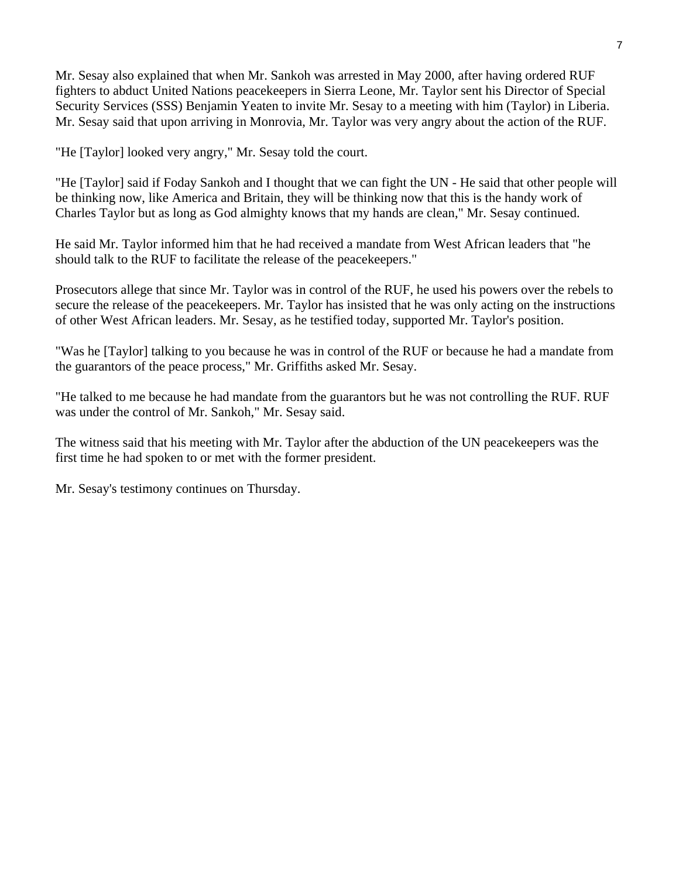Mr. Sesay also explained that when Mr. Sankoh was arrested in May 2000, after having ordered RUF fighters to abduct United Nations peacekeepers in Sierra Leone, Mr. Taylor sent his Director of Special Security Services (SSS) Benjamin Yeaten to invite Mr. Sesay to a meeting with him (Taylor) in Liberia. Mr. Sesay said that upon arriving in Monrovia, Mr. Taylor was very angry about the action of the RUF.

"He [Taylor] looked very angry," Mr. Sesay told the court.

"He [Taylor] said if Foday Sankoh and I thought that we can fight the UN - He said that other people will be thinking now, like America and Britain, they will be thinking now that this is the handy work of Charles Taylor but as long as God almighty knows that my hands are clean," Mr. Sesay continued.

He said Mr. Taylor informed him that he had received a mandate from West African leaders that "he should talk to the RUF to facilitate the release of the peacekeepers."

Prosecutors allege that since Mr. Taylor was in control of the RUF, he used his powers over the rebels to secure the release of the peacekeepers. Mr. Taylor has insisted that he was only acting on the instructions of other West African leaders. Mr. Sesay, as he testified today, supported Mr. Taylor's position.

"Was he [Taylor] talking to you because he was in control of the RUF or because he had a mandate from the guarantors of the peace process," Mr. Griffiths asked Mr. Sesay.

"He talked to me because he had mandate from the guarantors but he was not controlling the RUF. RUF was under the control of Mr. Sankoh," Mr. Sesay said.

The witness said that his meeting with Mr. Taylor after the abduction of the UN peacekeepers was the first time he had spoken to or met with the former president.

Mr. Sesay's testimony continues on Thursday.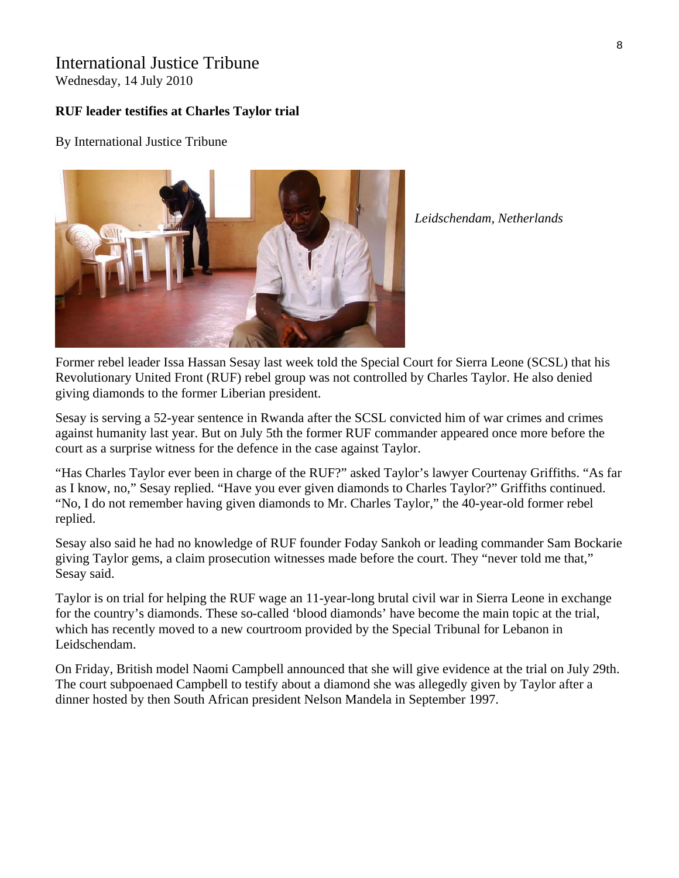### International Justice Tribune

Wednesday, 14 July 2010

#### **RUF leader testifies at Charles Taylor trial**

By International Justice Tribune



*Leidschendam, Netherlands* 

Former rebel leader Issa Hassan Sesay last week told the Special Court for Sierra Leone (SCSL) that his Revolutionary United Front (RUF) rebel group was not controlled by Charles Taylor. He also denied giving diamonds to the former Liberian president.

Sesay is serving a 52-year sentence in Rwanda after the SCSL convicted him of war crimes and crimes against humanity last year. But on July 5th the former RUF commander appeared once more before the court as a surprise witness for the defence in the case against Taylor.

"Has Charles Taylor ever been in charge of the RUF?" asked Taylor's lawyer Courtenay Griffiths. "As far as I know, no," Sesay replied. "Have you ever given diamonds to Charles Taylor?" Griffiths continued. "No, I do not remember having given diamonds to Mr. Charles Taylor," the 40-year-old former rebel replied.

Sesay also said he had no knowledge of RUF founder Foday Sankoh or leading commander Sam Bockarie giving Taylor gems, a claim prosecution witnesses made before the court. They "never told me that," Sesay said.

Taylor is on trial for helping the RUF wage an 11-year-long brutal civil war in Sierra Leone in exchange for the country's diamonds. These so-called 'blood diamonds' have become the main topic at the trial, which has recently moved to a new courtroom provided by the Special Tribunal for Lebanon in Leidschendam.

On Friday, British model Naomi Campbell announced that she will give evidence at the trial on July 29th. The court subpoenaed Campbell to testify about a diamond she was allegedly given by Taylor after a dinner hosted by then South African president Nelson Mandela in September 1997.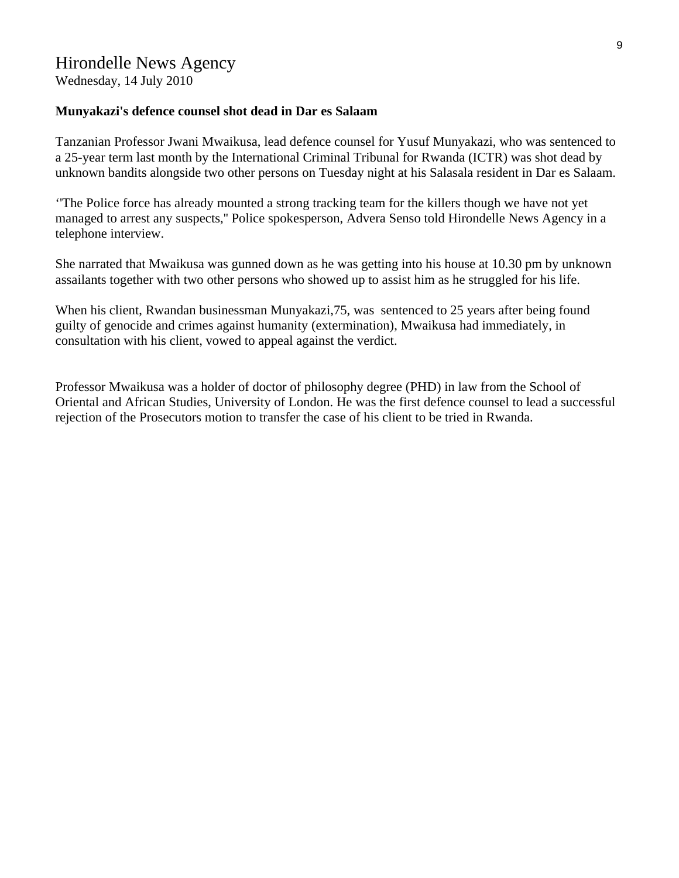Wednesday, 14 July 2010

#### **Munyakazi's defence counsel shot dead in Dar es Salaam**

Tanzanian Professor Jwani Mwaikusa, lead defence counsel for Yusuf Munyakazi, who was sentenced to a 25-year term last month by the International Criminal Tribunal for Rwanda (ICTR) was shot dead by unknown bandits alongside two other persons on Tuesday night at his Salasala resident in Dar es Salaam.

''The Police force has already mounted a strong tracking team for the killers though we have not yet managed to arrest any suspects,'' Police spokesperson, Advera Senso told Hirondelle News Agency in a telephone interview.

She narrated that Mwaikusa was gunned down as he was getting into his house at 10.30 pm by unknown assailants together with two other persons who showed up to assist him as he struggled for his life.

When his client, Rwandan businessman Munyakazi,75, was sentenced to 25 years after being found guilty of genocide and crimes against humanity (extermination), Mwaikusa had immediately, in consultation with his client, vowed to appeal against the verdict.

Professor Mwaikusa was a holder of doctor of philosophy degree (PHD) in law from the School of Oriental and African Studies, University of London. He was the first defence counsel to lead a successful rejection of the Prosecutors motion to transfer the case of his client to be tried in Rwanda.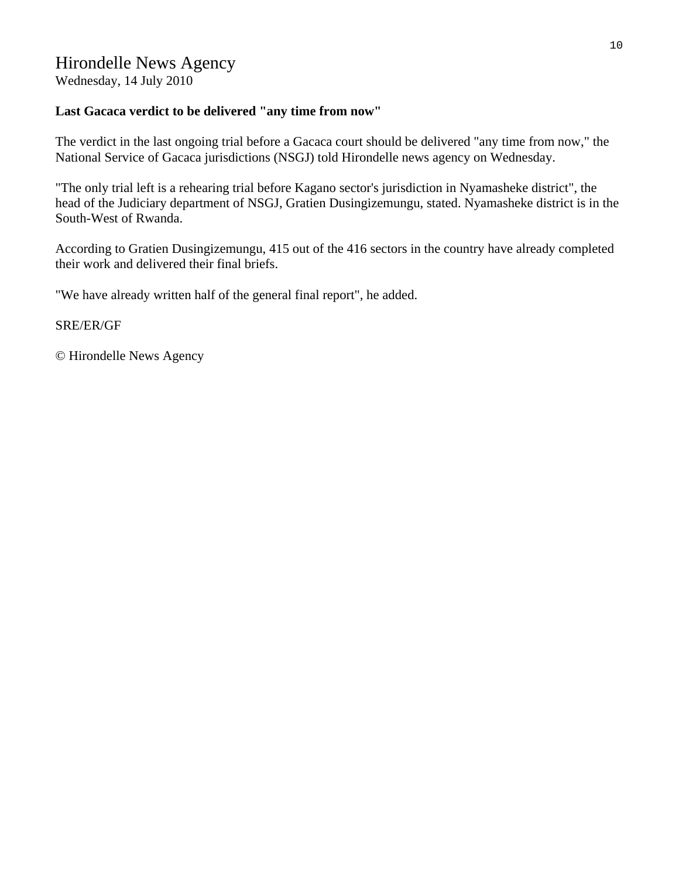### Hirondelle News Agency

Wednesday, 14 July 2010

#### **Last Gacaca verdict to be delivered "any time from now"**

The verdict in the last ongoing trial before a Gacaca court should be delivered "any time from now," the National Service of Gacaca jurisdictions (NSGJ) told Hirondelle news agency on Wednesday.

"The only trial left is a rehearing trial before Kagano sector's jurisdiction in Nyamasheke district", the head of the Judiciary department of NSGJ, Gratien Dusingizemungu, stated. Nyamasheke district is in the South-West of Rwanda.

According to Gratien Dusingizemungu, 415 out of the 416 sectors in the country have already completed their work and delivered their final briefs.

"We have already written half of the general final report", he added.

#### SRE/ER/GF

© Hirondelle News Agency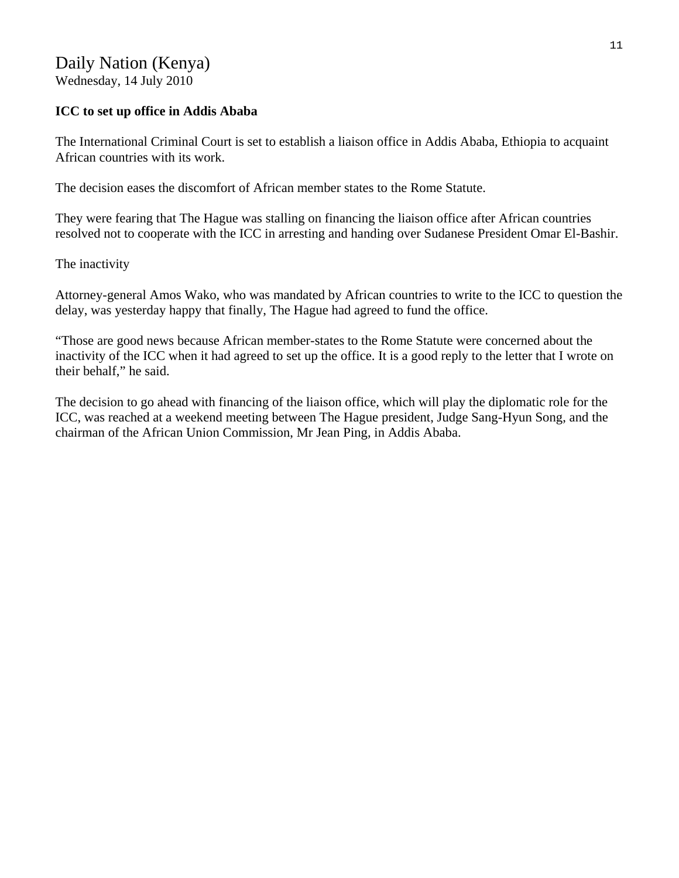# Daily Nation (Kenya)

Wednesday, 14 July 2010

#### **ICC to set up office in Addis Ababa**

The International Criminal Court is set to establish a liaison office in Addis Ababa, Ethiopia to acquaint African countries with its work.

The decision eases the discomfort of African member states to the Rome Statute.

They were fearing that The Hague was stalling on financing the liaison office after African countries resolved not to cooperate with the ICC in arresting and handing over Sudanese President Omar El-Bashir.

The inactivity

Attorney-general Amos Wako, who was mandated by African countries to write to the ICC to question the delay, was yesterday happy that finally, The Hague had agreed to fund the office.

"Those are good news because African member-states to the Rome Statute were concerned about the inactivity of the ICC when it had agreed to set up the office. It is a good reply to the letter that I wrote on their behalf," he said.

The decision to go ahead with financing of the liaison office, which will play the diplomatic role for the ICC, was reached at a weekend meeting between The Hague president, Judge Sang-Hyun Song, and the chairman of the African Union Commission, Mr Jean Ping, in Addis Ababa.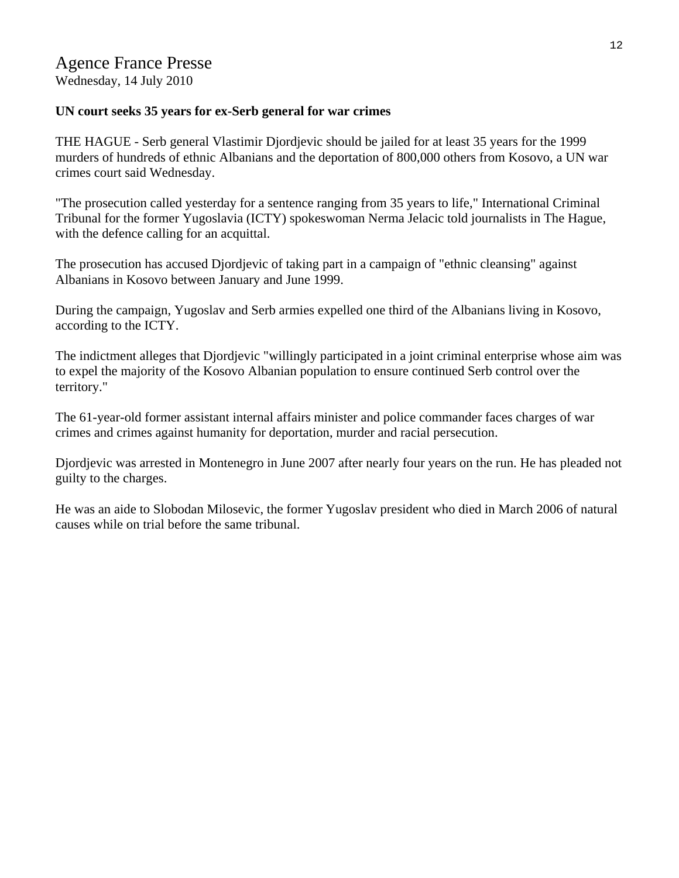# Agence France Presse

Wednesday, 14 July 2010

#### **UN court seeks 35 years for ex-Serb general for war crimes**

THE HAGUE - Serb general Vlastimir Djordjevic should be jailed for at least 35 years for the 1999 murders of hundreds of ethnic Albanians and the deportation of 800,000 others from Kosovo, a UN war crimes court said Wednesday.

"The prosecution called yesterday for a sentence ranging from 35 years to life," International Criminal Tribunal for the former Yugoslavia (ICTY) spokeswoman Nerma Jelacic told journalists in The Hague, with the defence calling for an acquittal.

The prosecution has accused Djordjevic of taking part in a campaign of "ethnic cleansing" against Albanians in Kosovo between January and June 1999.

During the campaign, Yugoslav and Serb armies expelled one third of the Albanians living in Kosovo, according to the ICTY.

The indictment alleges that Djordjevic "willingly participated in a joint criminal enterprise whose aim was to expel the majority of the Kosovo Albanian population to ensure continued Serb control over the territory."

The 61-year-old former assistant internal affairs minister and police commander faces charges of war crimes and crimes against humanity for deportation, murder and racial persecution.

Djordjevic was arrested in Montenegro in June 2007 after nearly four years on the run. He has pleaded not guilty to the charges.

He was an aide to Slobodan Milosevic, the former Yugoslav president who died in March 2006 of natural causes while on trial before the same tribunal.